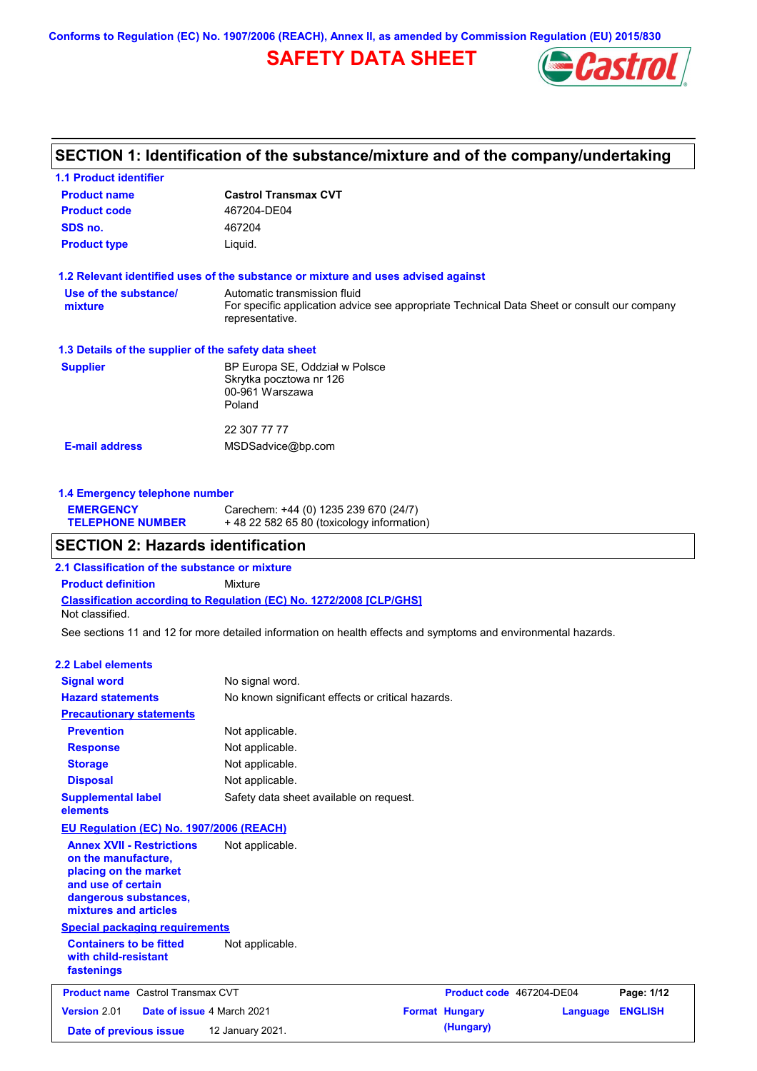**Conforms to Regulation (EC) No. 1907/2006 (REACH), Annex II, as amended by Commission Regulation (EU) 2015/830**

# **SAFETY DATA SHEET**



## **SECTION 1: Identification of the substance/mixture and of the company/undertaking**

| <b>Castrol Transmax CVT</b>                                                                                    |
|----------------------------------------------------------------------------------------------------------------|
| 467204-DE04                                                                                                    |
| 467204                                                                                                         |
| Liquid.                                                                                                        |
| 1.2 Relevant identified uses of the substance or mixture and uses advised against                              |
| Automatic transmission fluid                                                                                   |
| For specific application advice see appropriate Technical Data Sheet or consult our company<br>representative. |
| 1.3 Details of the supplier of the safety data sheet                                                           |
| BP Europa SE, Oddział w Polsce                                                                                 |
| Skrytka pocztowa nr 126                                                                                        |
| 00-961 Warszawa                                                                                                |
| Poland                                                                                                         |
| 22 307 77 77                                                                                                   |
| MSDSadvice@bp.com                                                                                              |
|                                                                                                                |
|                                                                                                                |

### **1.4 Emergency telephone number**

| <b>EMERGENCY</b>        | Carechem: +44 (0) 1235 239 670 (24/7)     |
|-------------------------|-------------------------------------------|
| <b>TELEPHONE NUMBER</b> | +48 22 582 65 80 (toxicology information) |

## **SECTION 2: Hazards identification**

**2.1 Classification of the substance or mixture**

**Classification according to Regulation (EC) No. 1272/2008 [CLP/GHS] Product definition** Mixture Not classified.

See sections 11 and 12 for more detailed information on health effects and symptoms and environmental hazards.

#### **2.2 Label elements**

| <b>Signal word</b>                                                                                                                                       | No signal word.                                   |                          |          |                |
|----------------------------------------------------------------------------------------------------------------------------------------------------------|---------------------------------------------------|--------------------------|----------|----------------|
| <b>Hazard statements</b>                                                                                                                                 | No known significant effects or critical hazards. |                          |          |                |
| <b>Precautionary statements</b>                                                                                                                          |                                                   |                          |          |                |
| <b>Prevention</b>                                                                                                                                        | Not applicable.                                   |                          |          |                |
| <b>Response</b>                                                                                                                                          | Not applicable.                                   |                          |          |                |
| <b>Storage</b>                                                                                                                                           | Not applicable.                                   |                          |          |                |
| <b>Disposal</b>                                                                                                                                          | Not applicable.                                   |                          |          |                |
| <b>Supplemental label</b><br>elements                                                                                                                    | Safety data sheet available on request.           |                          |          |                |
| <b>EU Regulation (EC) No. 1907/2006 (REACH)</b>                                                                                                          |                                                   |                          |          |                |
| <b>Annex XVII - Restrictions</b><br>on the manufacture,<br>placing on the market<br>and use of certain<br>dangerous substances,<br>mixtures and articles | Not applicable.                                   |                          |          |                |
| <b>Special packaging requirements</b>                                                                                                                    |                                                   |                          |          |                |
| <b>Containers to be fitted</b><br>with child-resistant<br>fastenings                                                                                     | Not applicable.                                   |                          |          |                |
| <b>Product name</b> Castrol Transmax CVT                                                                                                                 |                                                   | Product code 467204-DE04 |          | Page: 1/12     |
| Version 2.01<br>Date of issue 4 March 2021                                                                                                               |                                                   | <b>Format Hungary</b>    | Language | <b>ENGLISH</b> |
| Date of previous issue                                                                                                                                   | 12 January 2021.                                  | (Hungary)                |          |                |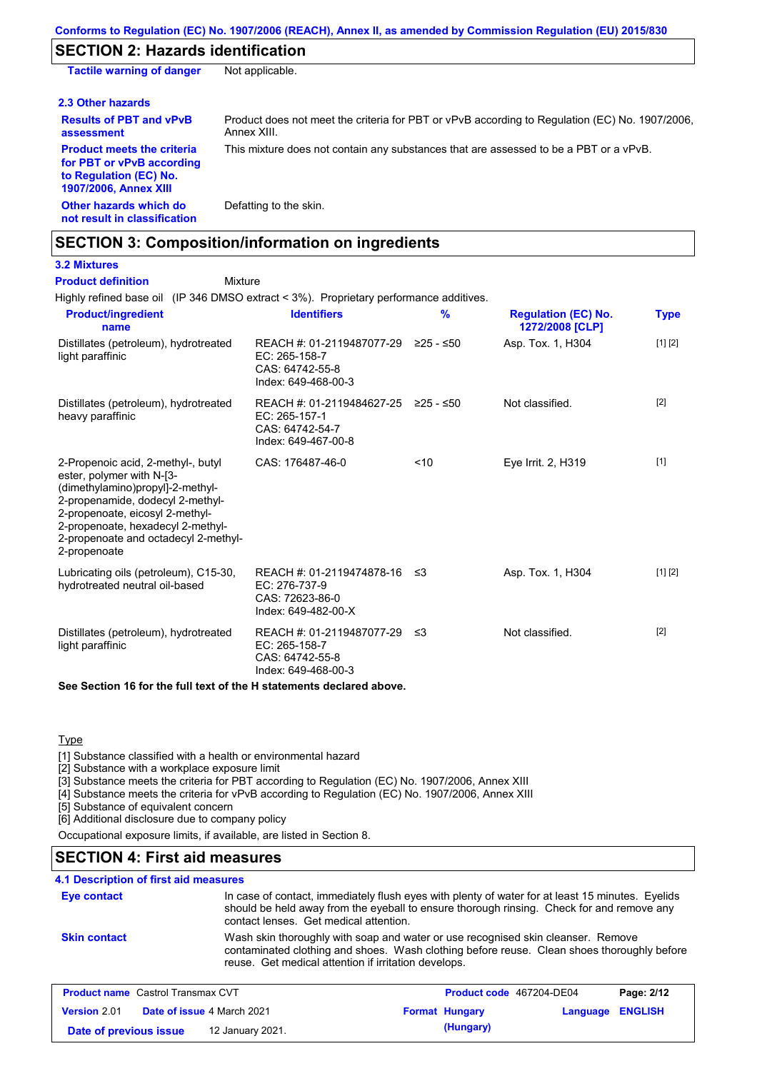## **SECTION 2: Hazards identification**

| <b>Tactile warning of danger</b>                                                                                         | Not applicable.                                                                                               |
|--------------------------------------------------------------------------------------------------------------------------|---------------------------------------------------------------------------------------------------------------|
| 2.3 Other hazards                                                                                                        |                                                                                                               |
| <b>Results of PBT and vPvB</b><br>assessment                                                                             | Product does not meet the criteria for PBT or vPvB according to Regulation (EC) No. 1907/2006,<br>Annex XIII. |
| <b>Product meets the criteria</b><br>for PBT or vPvB according<br>to Regulation (EC) No.<br><b>1907/2006, Annex XIII</b> | This mixture does not contain any substances that are assessed to be a PBT or a vPvB.                         |
| Other hazards which do<br>not result in classification                                                                   | Defatting to the skin.                                                                                        |

## **SECTION 3: Composition/information on ingredients**

### **3.2 Mixtures Product definition**

Mixture

Highly refined base oil (IP 346 DMSO extract < 3%). Proprietary performance additives.

| <b>Product/ingredient</b><br>name                                                                                                                                                                                                                                       | <b>Identifiers</b>                                                                             | $\frac{9}{6}$ | <b>Regulation (EC) No.</b><br>1272/2008 [CLP] | <b>Type</b> |
|-------------------------------------------------------------------------------------------------------------------------------------------------------------------------------------------------------------------------------------------------------------------------|------------------------------------------------------------------------------------------------|---------------|-----------------------------------------------|-------------|
| Distillates (petroleum), hydrotreated<br>light paraffinic                                                                                                                                                                                                               | REACH #: 01-2119487077-29 ≥25 - ≤50<br>EC: 265-158-7<br>CAS: 64742-55-8<br>Index: 649-468-00-3 |               | Asp. Tox. 1, H304                             | [1] [2]     |
| Distillates (petroleum), hydrotreated<br>heavy paraffinic                                                                                                                                                                                                               | REACH #: 01-2119484627-25 ≥25 - ≤50<br>EC: 265-157-1<br>CAS: 64742-54-7<br>Index: 649-467-00-8 |               | Not classified.                               | $[2]$       |
| 2-Propenoic acid, 2-methyl-, butyl<br>ester, polymer with N-[3-<br>(dimethylamino)propyl]-2-methyl-<br>2-propenamide, dodecyl 2-methyl-<br>2-propenoate, eicosyl 2-methyl-<br>2-propenoate, hexadecyl 2-methyl-<br>2-propenoate and octadecyl 2-methyl-<br>2-propenoate | CAS: 176487-46-0                                                                               | $10^{-1}$     | Eye Irrit. 2, H319                            | $[1]$       |
| Lubricating oils (petroleum), C15-30,<br>hydrotreated neutral oil-based                                                                                                                                                                                                 | REACH #: 01-2119474878-16 ≤3<br>EC: 276-737-9<br>CAS: 72623-86-0<br>Index: 649-482-00-X        |               | Asp. Tox. 1, H304                             | [1] [2]     |
| Distillates (petroleum), hydrotreated<br>light paraffinic                                                                                                                                                                                                               | REACH #: 01-2119487077-29 ≤3<br>EC: 265-158-7<br>CAS: 64742-55-8<br>Index: 649-468-00-3        |               | Not classified.                               | $[2]$       |
| $\bigcap_{i=1}^n A_i$ is the set of $A_i$ is the set of $A_i$ in the set of the set of set of set of set of $A_i$                                                                                                                                                       |                                                                                                |               |                                               |             |

**See Section 16 for the full text of the H statements declared above.**

### **Type**

[1] Substance classified with a health or environmental hazard

[2] Substance with a workplace exposure limit

[3] Substance meets the criteria for PBT according to Regulation (EC) No. 1907/2006, Annex XIII

[4] Substance meets the criteria for vPvB according to Regulation (EC) No. 1907/2006, Annex XIII

[5] Substance of equivalent concern

[6] Additional disclosure due to company policy

Occupational exposure limits, if available, are listed in Section 8.

## **SECTION 4: First aid measures**

### **4.1 Description of first aid measures**

| <b>Eye contact</b>  | In case of contact, immediately flush eyes with plenty of water for at least 15 minutes. Eyelids<br>should be held away from the eyeball to ensure thorough rinsing. Check for and remove any<br>contact lenses. Get medical attention. |
|---------------------|-----------------------------------------------------------------------------------------------------------------------------------------------------------------------------------------------------------------------------------------|
| <b>Skin contact</b> | Wash skin thoroughly with soap and water or use recognised skin cleanser. Remove<br>contaminated clothing and shoes. Wash clothing before reuse. Clean shoes thoroughly before<br>reuse. Get medical attention if irritation develops.  |

| <b>Product name</b> Castrol Transmax CVT |  | <b>Product code</b> 467204-DE04   |  | Page: 2/12            |                  |  |
|------------------------------------------|--|-----------------------------------|--|-----------------------|------------------|--|
| Version 2.01                             |  | <b>Date of issue 4 March 2021</b> |  | <b>Format Hungary</b> | Language ENGLISH |  |
| Date of previous issue                   |  | 12 January 2021.                  |  | (Hungary)             |                  |  |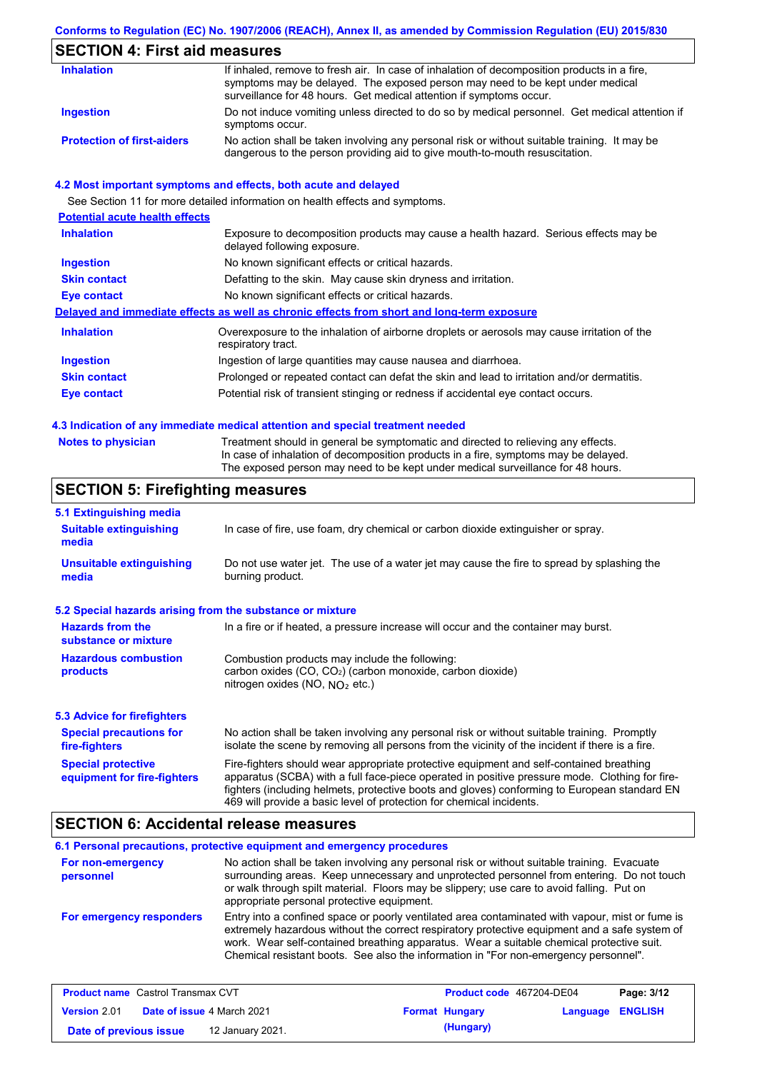## **Conforms to Regulation (EC) No. 1907/2006 (REACH), Annex II, as amended by Commission Regulation (EU) 2015/830**

# **SECTION 4: First aid measures**

| <b>Inhalation</b>                 | If inhaled, remove to fresh air. In case of inhalation of decomposition products in a fire,<br>symptoms may be delayed. The exposed person may need to be kept under medical<br>surveillance for 48 hours. Get medical attention if symptoms occur. |
|-----------------------------------|-----------------------------------------------------------------------------------------------------------------------------------------------------------------------------------------------------------------------------------------------------|
| Ingestion                         | Do not induce vomiting unless directed to do so by medical personnel. Get medical attention if<br>symptoms occur.                                                                                                                                   |
| <b>Protection of first-aiders</b> | No action shall be taken involving any personal risk or without suitable training. It may be<br>dangerous to the person providing aid to give mouth-to-mouth resuscitation.                                                                         |

### **4.2 Most important symptoms and effects, both acute and delayed**

See Section 11 for more detailed information on health effects and symptoms.

| <b>Potential acute health effects</b> |                                                                                                                     |
|---------------------------------------|---------------------------------------------------------------------------------------------------------------------|
| <b>Inhalation</b>                     | Exposure to decomposition products may cause a health hazard. Serious effects may be<br>delayed following exposure. |
| <b>Ingestion</b>                      | No known significant effects or critical hazards.                                                                   |
| <b>Skin contact</b>                   | Defatting to the skin. May cause skin dryness and irritation.                                                       |
| Eye contact                           | No known significant effects or critical hazards.                                                                   |
|                                       | Delayed and immediate effects as well as chronic effects from short and long-term exposure                          |
| <b>Inhalation</b>                     | Overexposure to the inhalation of airborne droplets or aerosols may cause irritation of the<br>respiratory tract.   |
| <b>Ingestion</b>                      | Ingestion of large quantities may cause nausea and diarrhoea.                                                       |
| <b>Skin contact</b>                   | Prolonged or repeated contact can defat the skin and lead to irritation and/or dermatitis.                          |
| Eye contact                           | Potential risk of transient stinging or redness if accidental eye contact occurs.                                   |
|                                       |                                                                                                                     |

### **4.3 Indication of any immediate medical attention and special treatment needed**

| Notes to physician | Treatment should in general be symptomatic and directed to relieving any effects.   |
|--------------------|-------------------------------------------------------------------------------------|
|                    | In case of inhalation of decomposition products in a fire, symptoms may be delayed. |
|                    | The exposed person may need to be kept under medical surveillance for 48 hours.     |

# **SECTION 5: Firefighting measures**

| 5.1 Extinguishing media                                   |                                                                                                                                                                                                                                                                                                                                                                   |  |  |
|-----------------------------------------------------------|-------------------------------------------------------------------------------------------------------------------------------------------------------------------------------------------------------------------------------------------------------------------------------------------------------------------------------------------------------------------|--|--|
| <b>Suitable extinguishing</b><br>media                    | In case of fire, use foam, dry chemical or carbon dioxide extinguisher or spray.                                                                                                                                                                                                                                                                                  |  |  |
| <b>Unsuitable extinguishing</b><br>media                  | Do not use water jet. The use of a water jet may cause the fire to spread by splashing the<br>burning product.                                                                                                                                                                                                                                                    |  |  |
| 5.2 Special hazards arising from the substance or mixture |                                                                                                                                                                                                                                                                                                                                                                   |  |  |
| <b>Hazards from the</b><br>substance or mixture           | In a fire or if heated, a pressure increase will occur and the container may burst.                                                                                                                                                                                                                                                                               |  |  |
| <b>Hazardous combustion</b><br>products                   | Combustion products may include the following:<br>carbon oxides (CO, CO <sub>2</sub> ) (carbon monoxide, carbon dioxide)<br>nitrogen oxides (NO, $NO2$ etc.)                                                                                                                                                                                                      |  |  |
| 5.3 Advice for firefighters                               |                                                                                                                                                                                                                                                                                                                                                                   |  |  |
| <b>Special precautions for</b><br>fire-fighters           | No action shall be taken involving any personal risk or without suitable training. Promptly<br>isolate the scene by removing all persons from the vicinity of the incident if there is a fire.                                                                                                                                                                    |  |  |
| <b>Special protective</b><br>equipment for fire-fighters  | Fire-fighters should wear appropriate protective equipment and self-contained breathing<br>apparatus (SCBA) with a full face-piece operated in positive pressure mode. Clothing for fire-<br>fighters (including helmets, protective boots and gloves) conforming to European standard EN<br>469 will provide a basic level of protection for chemical incidents. |  |  |

## **SECTION 6: Accidental release measures**

|                                | 6.1 Personal precautions, protective equipment and emergency procedures                                                                                                                                                                                                                                                                                                              |
|--------------------------------|--------------------------------------------------------------------------------------------------------------------------------------------------------------------------------------------------------------------------------------------------------------------------------------------------------------------------------------------------------------------------------------|
| For non-emergency<br>personnel | No action shall be taken involving any personal risk or without suitable training. Evacuate<br>surrounding areas. Keep unnecessary and unprotected personnel from entering. Do not touch<br>or walk through spilt material. Floors may be slippery; use care to avoid falling. Put on<br>appropriate personal protective equipment.                                                  |
| For emergency responders       | Entry into a confined space or poorly ventilated area contaminated with vapour, mist or fume is<br>extremely hazardous without the correct respiratory protective equipment and a safe system of<br>work. Wear self-contained breathing apparatus. Wear a suitable chemical protective suit.<br>Chemical resistant boots. See also the information in "For non-emergency personnel". |

| <b>Product name</b> Castrol Transmax CVT |  | <b>Product code</b> 467204-DE04   |                       | Page: 3/12       |  |
|------------------------------------------|--|-----------------------------------|-----------------------|------------------|--|
| <b>Version 2.01</b>                      |  | <b>Date of issue 4 March 2021</b> | <b>Format Hungary</b> | Language ENGLISH |  |
| Date of previous issue                   |  | 12 January 2021.                  | (Hungary)             |                  |  |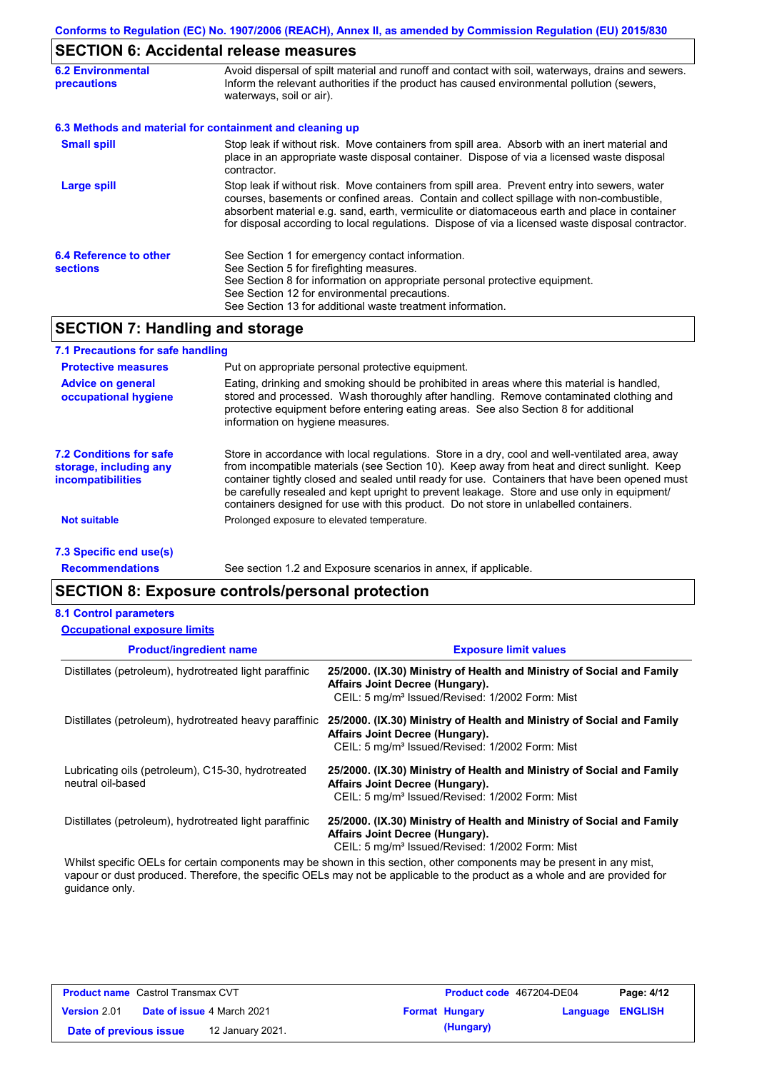## **SECTION 6: Accidental release measures**

| <b>6.2 Environmental</b><br><b>precautions</b> | Avoid dispersal of spilt material and runoff and contact with soil, waterways, drains and sewers.<br>Inform the relevant authorities if the product has caused environmental pollution (sewers,<br>waterways, soil or air).                                                                                                                                                                    |
|------------------------------------------------|------------------------------------------------------------------------------------------------------------------------------------------------------------------------------------------------------------------------------------------------------------------------------------------------------------------------------------------------------------------------------------------------|
|                                                | 6.3 Methods and material for containment and cleaning up                                                                                                                                                                                                                                                                                                                                       |
| <b>Small spill</b>                             | Stop leak if without risk. Move containers from spill area. Absorb with an inert material and<br>place in an appropriate waste disposal container. Dispose of via a licensed waste disposal<br>contractor.                                                                                                                                                                                     |
| Large spill                                    | Stop leak if without risk. Move containers from spill area. Prevent entry into sewers, water<br>courses, basements or confined areas. Contain and collect spillage with non-combustible,<br>absorbent material e.g. sand, earth, vermiculite or diatomaceous earth and place in container<br>for disposal according to local regulations. Dispose of via a licensed waste disposal contractor. |
| 6.4 Reference to other<br><b>sections</b>      | See Section 1 for emergency contact information.<br>See Section 5 for firefighting measures.<br>See Section 8 for information on appropriate personal protective equipment.<br>See Section 12 for environmental precautions.<br>See Section 13 for additional waste treatment information.                                                                                                     |

## **SECTION 7: Handling and storage**

| 7.1 Precautions for safe handling                                                    |                                                                                                                                                                                                                                                                                                                                                                                                                                                                                          |
|--------------------------------------------------------------------------------------|------------------------------------------------------------------------------------------------------------------------------------------------------------------------------------------------------------------------------------------------------------------------------------------------------------------------------------------------------------------------------------------------------------------------------------------------------------------------------------------|
| <b>Protective measures</b>                                                           | Put on appropriate personal protective equipment.                                                                                                                                                                                                                                                                                                                                                                                                                                        |
| <b>Advice on general</b><br>occupational hygiene                                     | Eating, drinking and smoking should be prohibited in areas where this material is handled,<br>stored and processed. Wash thoroughly after handling. Remove contaminated clothing and<br>protective equipment before entering eating areas. See also Section 8 for additional<br>information on hygiene measures.                                                                                                                                                                         |
| <b>7.2 Conditions for safe</b><br>storage, including any<br><i>incompatibilities</i> | Store in accordance with local requiations. Store in a dry, cool and well-ventilated area, away<br>from incompatible materials (see Section 10). Keep away from heat and direct sunlight. Keep<br>container tightly closed and sealed until ready for use. Containers that have been opened must<br>be carefully resealed and kept upright to prevent leakage. Store and use only in equipment/<br>containers designed for use with this product. Do not store in unlabelled containers. |
| Not suitable                                                                         | Prolonged exposure to elevated temperature.                                                                                                                                                                                                                                                                                                                                                                                                                                              |
| 7.3 Specific end use(s)                                                              |                                                                                                                                                                                                                                                                                                                                                                                                                                                                                          |

**Recommendations**

See section 1.2 and Exposure scenarios in annex, if applicable.

## **SECTION 8: Exposure controls/personal protection**

#### **8.1 Control parameters**

| <b>Occupational exposure limits</b>                                     |                                                                                                                                                                         |
|-------------------------------------------------------------------------|-------------------------------------------------------------------------------------------------------------------------------------------------------------------------|
| <b>Product/ingredient name</b>                                          | <b>Exposure limit values</b>                                                                                                                                            |
| Distillates (petroleum), hydrotreated light paraffinic                  | 25/2000. (IX.30) Ministry of Health and Ministry of Social and Family<br>Affairs Joint Decree (Hungary).<br>CEIL: 5 mg/m <sup>3</sup> Issued/Revised: 1/2002 Form: Mist |
| Distillates (petroleum), hydrotreated heavy paraffinic                  | 25/2000. (IX.30) Ministry of Health and Ministry of Social and Family<br>Affairs Joint Decree (Hungary).<br>CEIL: 5 mg/m <sup>3</sup> Issued/Revised: 1/2002 Form: Mist |
| Lubricating oils (petroleum), C15-30, hydrotreated<br>neutral oil-based | 25/2000. (IX.30) Ministry of Health and Ministry of Social and Family<br>Affairs Joint Decree (Hungary).<br>CEIL: 5 mg/m <sup>3</sup> Issued/Revised: 1/2002 Form: Mist |
| Distillates (petroleum), hydrotreated light paraffinic                  | 25/2000. (IX.30) Ministry of Health and Ministry of Social and Family<br>Affairs Joint Decree (Hungary).<br>CEIL: 5 mg/m <sup>3</sup> Issued/Revised: 1/2002 Form: Mist |

Whilst specific OELs for certain components may be shown in this section, other components may be present in any mist, vapour or dust produced. Therefore, the specific OELs may not be applicable to the product as a whole and are provided for guidance only.

| <b>Product name</b> Castrol Transmax CVT |  | <b>Product code</b> 467204-DE04   |  | Page: 4/12            |                  |  |
|------------------------------------------|--|-----------------------------------|--|-----------------------|------------------|--|
| <b>Version 2.01</b>                      |  | <b>Date of issue 4 March 2021</b> |  | <b>Format Hungary</b> | Language ENGLISH |  |
| Date of previous issue                   |  | 12 January 2021.                  |  | (Hungary)             |                  |  |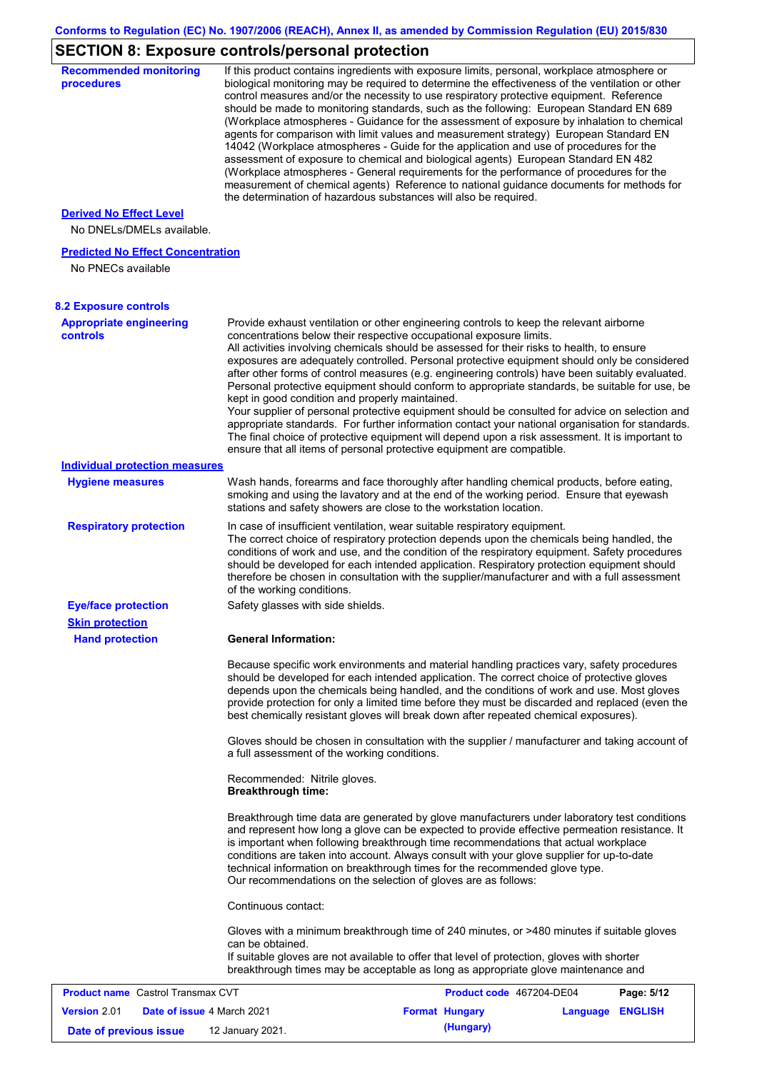# **SECTION 8: Exposure controls/personal protection**

| <b>Recommended monitoring</b><br>procedures                    |                                                           | If this product contains ingredients with exposure limits, personal, workplace atmosphere or<br>biological monitoring may be required to determine the effectiveness of the ventilation or other<br>control measures and/or the necessity to use respiratory protective equipment. Reference<br>should be made to monitoring standards, such as the following: European Standard EN 689<br>(Workplace atmospheres - Guidance for the assessment of exposure by inhalation to chemical<br>agents for comparison with limit values and measurement strategy) European Standard EN<br>14042 (Workplace atmospheres - Guide for the application and use of procedures for the<br>assessment of exposure to chemical and biological agents) European Standard EN 482<br>(Workplace atmospheres - General requirements for the performance of procedures for the<br>measurement of chemical agents) Reference to national guidance documents for methods for<br>the determination of hazardous substances will also be required. |                  |            |
|----------------------------------------------------------------|-----------------------------------------------------------|----------------------------------------------------------------------------------------------------------------------------------------------------------------------------------------------------------------------------------------------------------------------------------------------------------------------------------------------------------------------------------------------------------------------------------------------------------------------------------------------------------------------------------------------------------------------------------------------------------------------------------------------------------------------------------------------------------------------------------------------------------------------------------------------------------------------------------------------------------------------------------------------------------------------------------------------------------------------------------------------------------------------------|------------------|------------|
| <b>Derived No Effect Level</b><br>No DNELs/DMELs available.    |                                                           |                                                                                                                                                                                                                                                                                                                                                                                                                                                                                                                                                                                                                                                                                                                                                                                                                                                                                                                                                                                                                            |                  |            |
| <b>Predicted No Effect Concentration</b><br>No PNECs available |                                                           |                                                                                                                                                                                                                                                                                                                                                                                                                                                                                                                                                                                                                                                                                                                                                                                                                                                                                                                                                                                                                            |                  |            |
| <b>8.2 Exposure controls</b>                                   |                                                           |                                                                                                                                                                                                                                                                                                                                                                                                                                                                                                                                                                                                                                                                                                                                                                                                                                                                                                                                                                                                                            |                  |            |
| <b>Appropriate engineering</b><br>controls                     | kept in good condition and properly maintained.           | Provide exhaust ventilation or other engineering controls to keep the relevant airborne<br>concentrations below their respective occupational exposure limits.<br>All activities involving chemicals should be assessed for their risks to health, to ensure<br>exposures are adequately controlled. Personal protective equipment should only be considered<br>after other forms of control measures (e.g. engineering controls) have been suitably evaluated.<br>Personal protective equipment should conform to appropriate standards, be suitable for use, be<br>Your supplier of personal protective equipment should be consulted for advice on selection and<br>appropriate standards. For further information contact your national organisation for standards.<br>The final choice of protective equipment will depend upon a risk assessment. It is important to<br>ensure that all items of personal protective equipment are compatible.                                                                       |                  |            |
| <b>Individual protection measures</b>                          |                                                           |                                                                                                                                                                                                                                                                                                                                                                                                                                                                                                                                                                                                                                                                                                                                                                                                                                                                                                                                                                                                                            |                  |            |
| <b>Hygiene measures</b>                                        |                                                           | Wash hands, forearms and face thoroughly after handling chemical products, before eating,<br>smoking and using the lavatory and at the end of the working period. Ensure that eyewash<br>stations and safety showers are close to the workstation location.                                                                                                                                                                                                                                                                                                                                                                                                                                                                                                                                                                                                                                                                                                                                                                |                  |            |
| <b>Respiratory protection</b>                                  | of the working conditions.                                | In case of insufficient ventilation, wear suitable respiratory equipment.<br>The correct choice of respiratory protection depends upon the chemicals being handled, the<br>conditions of work and use, and the condition of the respiratory equipment. Safety procedures<br>should be developed for each intended application. Respiratory protection equipment should<br>therefore be chosen in consultation with the supplier/manufacturer and with a full assessment                                                                                                                                                                                                                                                                                                                                                                                                                                                                                                                                                    |                  |            |
| <b>Eye/face protection</b><br><b>Skin protection</b>           | Safety glasses with side shields.                         |                                                                                                                                                                                                                                                                                                                                                                                                                                                                                                                                                                                                                                                                                                                                                                                                                                                                                                                                                                                                                            |                  |            |
| <b>Hand protection</b>                                         | <b>General Information:</b>                               |                                                                                                                                                                                                                                                                                                                                                                                                                                                                                                                                                                                                                                                                                                                                                                                                                                                                                                                                                                                                                            |                  |            |
|                                                                |                                                           | Because specific work environments and material handling practices vary, safety procedures<br>should be developed for each intended application. The correct choice of protective gloves<br>depends upon the chemicals being handled, and the conditions of work and use. Most gloves<br>provide protection for only a limited time before they must be discarded and replaced (even the<br>best chemically resistant gloves will break down after repeated chemical exposures).<br>Gloves should be chosen in consultation with the supplier / manufacturer and taking account of                                                                                                                                                                                                                                                                                                                                                                                                                                         |                  |            |
|                                                                | a full assessment of the working conditions.              |                                                                                                                                                                                                                                                                                                                                                                                                                                                                                                                                                                                                                                                                                                                                                                                                                                                                                                                                                                                                                            |                  |            |
|                                                                | Recommended: Nitrile gloves.<br><b>Breakthrough time:</b> |                                                                                                                                                                                                                                                                                                                                                                                                                                                                                                                                                                                                                                                                                                                                                                                                                                                                                                                                                                                                                            |                  |            |
|                                                                |                                                           | Breakthrough time data are generated by glove manufacturers under laboratory test conditions<br>and represent how long a glove can be expected to provide effective permeation resistance. It<br>is important when following breakthrough time recommendations that actual workplace<br>conditions are taken into account. Always consult with your glove supplier for up-to-date<br>technical information on breakthrough times for the recommended glove type.<br>Our recommendations on the selection of gloves are as follows:                                                                                                                                                                                                                                                                                                                                                                                                                                                                                         |                  |            |
|                                                                | Continuous contact:                                       |                                                                                                                                                                                                                                                                                                                                                                                                                                                                                                                                                                                                                                                                                                                                                                                                                                                                                                                                                                                                                            |                  |            |
|                                                                | can be obtained.                                          | Gloves with a minimum breakthrough time of 240 minutes, or >480 minutes if suitable gloves<br>If suitable gloves are not available to offer that level of protection, gloves with shorter<br>breakthrough times may be acceptable as long as appropriate glove maintenance and                                                                                                                                                                                                                                                                                                                                                                                                                                                                                                                                                                                                                                                                                                                                             |                  |            |
| <b>Product name</b> Castrol Transmax CVT                       |                                                           | Product code 467204-DE04                                                                                                                                                                                                                                                                                                                                                                                                                                                                                                                                                                                                                                                                                                                                                                                                                                                                                                                                                                                                   |                  | Page: 5/12 |
| Version 2.01<br>Date of issue 4 March 2021                     |                                                           | <b>Format Hungary</b>                                                                                                                                                                                                                                                                                                                                                                                                                                                                                                                                                                                                                                                                                                                                                                                                                                                                                                                                                                                                      | Language ENGLISH |            |
| Date of previous issue                                         | 12 January 2021.                                          | (Hungary)                                                                                                                                                                                                                                                                                                                                                                                                                                                                                                                                                                                                                                                                                                                                                                                                                                                                                                                                                                                                                  |                  |            |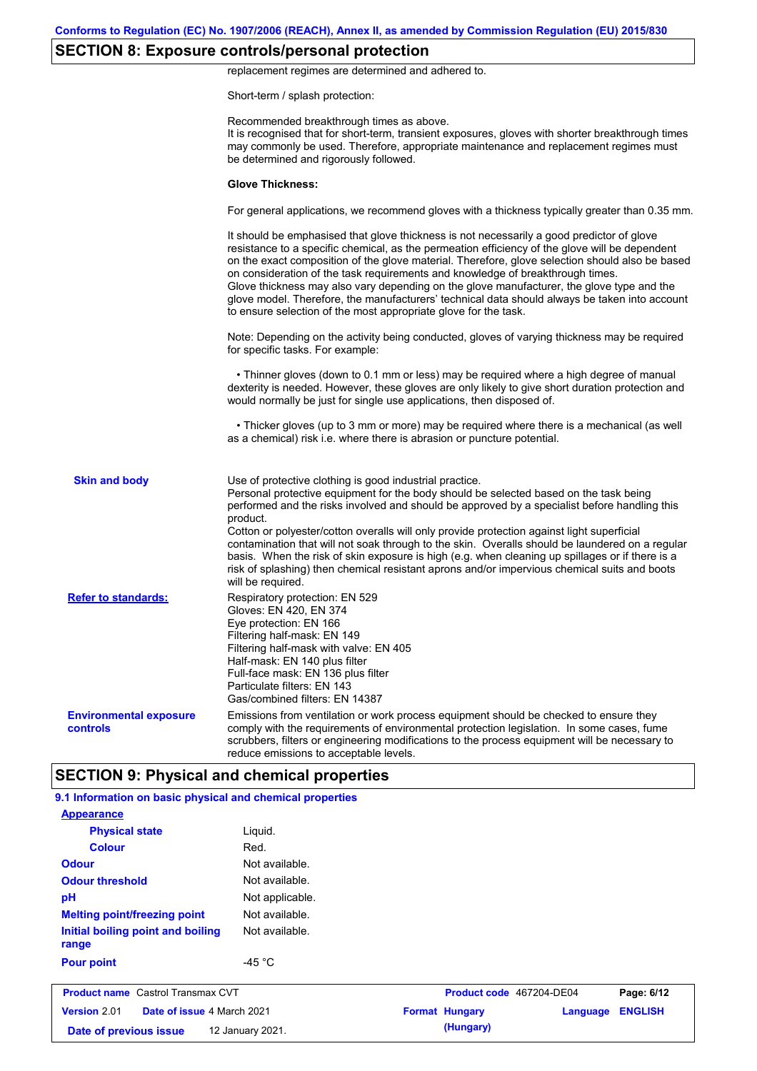# **SECTION 8: Exposure controls/personal protection**

replacement regimes are determined and adhered to.

Short-term / splash protection:

|                                           | Recommended breakthrough times as above.<br>It is recognised that for short-term, transient exposures, gloves with shorter breakthrough times                                                                                                                                                                                                                                                                                                                                                                                                                                                                                                                                         |
|-------------------------------------------|---------------------------------------------------------------------------------------------------------------------------------------------------------------------------------------------------------------------------------------------------------------------------------------------------------------------------------------------------------------------------------------------------------------------------------------------------------------------------------------------------------------------------------------------------------------------------------------------------------------------------------------------------------------------------------------|
|                                           | may commonly be used. Therefore, appropriate maintenance and replacement regimes must<br>be determined and rigorously followed.                                                                                                                                                                                                                                                                                                                                                                                                                                                                                                                                                       |
|                                           | <b>Glove Thickness:</b>                                                                                                                                                                                                                                                                                                                                                                                                                                                                                                                                                                                                                                                               |
|                                           | For general applications, we recommend gloves with a thickness typically greater than 0.35 mm.                                                                                                                                                                                                                                                                                                                                                                                                                                                                                                                                                                                        |
|                                           | It should be emphasised that glove thickness is not necessarily a good predictor of glove<br>resistance to a specific chemical, as the permeation efficiency of the glove will be dependent<br>on the exact composition of the glove material. Therefore, glove selection should also be based<br>on consideration of the task requirements and knowledge of breakthrough times.<br>Glove thickness may also vary depending on the glove manufacturer, the glove type and the<br>glove model. Therefore, the manufacturers' technical data should always be taken into account<br>to ensure selection of the most appropriate glove for the task.                                     |
|                                           | Note: Depending on the activity being conducted, gloves of varying thickness may be required<br>for specific tasks. For example:                                                                                                                                                                                                                                                                                                                                                                                                                                                                                                                                                      |
|                                           | • Thinner gloves (down to 0.1 mm or less) may be required where a high degree of manual<br>dexterity is needed. However, these gloves are only likely to give short duration protection and<br>would normally be just for single use applications, then disposed of.                                                                                                                                                                                                                                                                                                                                                                                                                  |
|                                           | • Thicker gloves (up to 3 mm or more) may be required where there is a mechanical (as well<br>as a chemical) risk i.e. where there is abrasion or puncture potential.                                                                                                                                                                                                                                                                                                                                                                                                                                                                                                                 |
| <b>Skin and body</b>                      | Use of protective clothing is good industrial practice.<br>Personal protective equipment for the body should be selected based on the task being<br>performed and the risks involved and should be approved by a specialist before handling this<br>product.<br>Cotton or polyester/cotton overalls will only provide protection against light superficial<br>contamination that will not soak through to the skin. Overalls should be laundered on a regular<br>basis. When the risk of skin exposure is high (e.g. when cleaning up spillages or if there is a<br>risk of splashing) then chemical resistant aprons and/or impervious chemical suits and boots<br>will be required. |
| <b>Refer to standards:</b>                | Respiratory protection: EN 529<br>Gloves: EN 420, EN 374<br>Eye protection: EN 166<br>Filtering half-mask: EN 149<br>Filtering half-mask with valve: EN 405<br>Half-mask: EN 140 plus filter<br>Full-face mask: EN 136 plus filter<br>Particulate filters: EN 143<br>Gas/combined filters: EN 14387                                                                                                                                                                                                                                                                                                                                                                                   |
| <b>Environmental exposure</b><br>controls | Emissions from ventilation or work process equipment should be checked to ensure they<br>comply with the requirements of environmental protection legislation. In some cases, fume<br>scrubbers, filters or engineering modifications to the process equipment will be necessary to                                                                                                                                                                                                                                                                                                                                                                                                   |

| <b>Physical state</b>                      | Liguid.          |                          |          |                |
|--------------------------------------------|------------------|--------------------------|----------|----------------|
| <b>Colour</b>                              | Red.             |                          |          |                |
| <b>Odour</b>                               | Not available.   |                          |          |                |
| <b>Odour threshold</b>                     | Not available.   |                          |          |                |
| pH                                         | Not applicable.  |                          |          |                |
| <b>Melting point/freezing point</b>        | Not available.   |                          |          |                |
| Initial boiling point and boiling<br>range | Not available.   |                          |          |                |
| <b>Pour point</b>                          | -45 $^{\circ}$ C |                          |          |                |
| <b>Product name</b> Castrol Transmax CVT   |                  | Product code 467204-DE04 |          | Page: 6/12     |
| Version 2.01<br>Date of issue 4 March 2021 |                  | <b>Format Hungary</b>    | Language | <b>ENGLISH</b> |
| Date of previous issue                     | 12 January 2021. | (Hungary)                |          |                |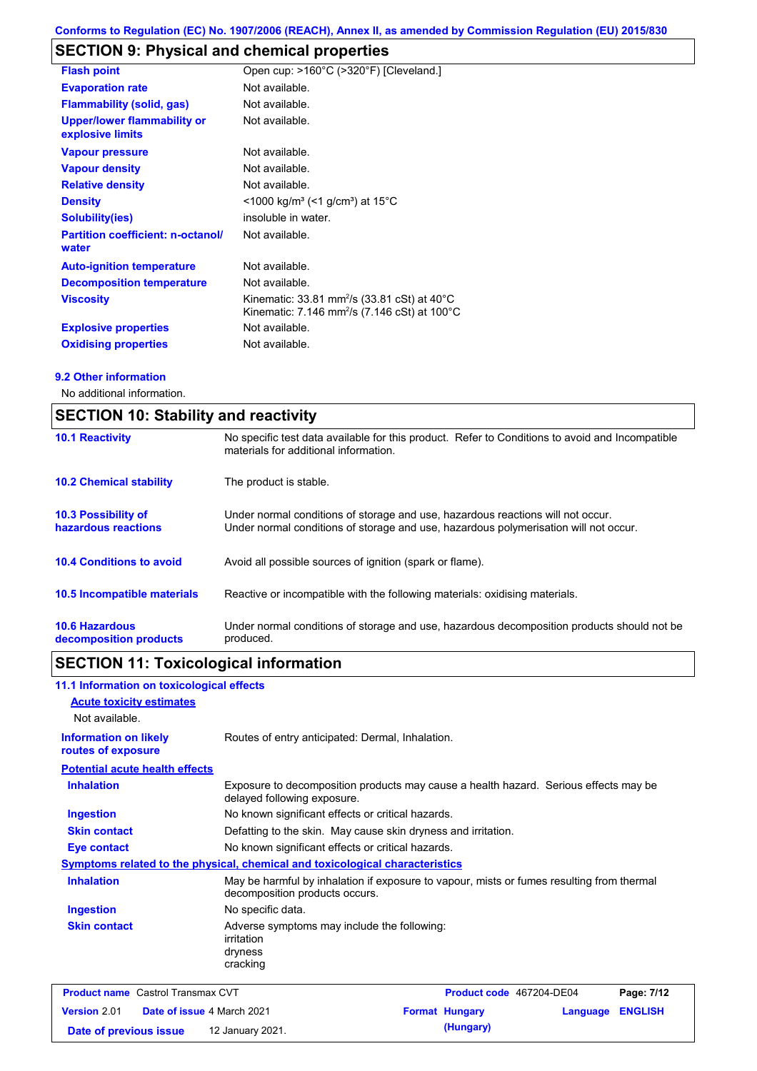# **SECTION 9: Physical and chemical properties**

| <b>Flash point</b>                                     | Open cup: >160°C (>320°F) [Cleveland.]                                                                                                    |
|--------------------------------------------------------|-------------------------------------------------------------------------------------------------------------------------------------------|
| <b>Evaporation rate</b>                                | Not available.                                                                                                                            |
| <b>Flammability (solid, gas)</b>                       | Not available.                                                                                                                            |
| <b>Upper/lower flammability or</b><br>explosive limits | Not available.                                                                                                                            |
| <b>Vapour pressure</b>                                 | Not available.                                                                                                                            |
| <b>Vapour density</b>                                  | Not available.                                                                                                                            |
| <b>Relative density</b>                                | Not available.                                                                                                                            |
| <b>Density</b>                                         | $<$ 1000 kg/m <sup>3</sup> (<1 g/cm <sup>3</sup> ) at 15 <sup>°</sup> C                                                                   |
| <b>Solubility(ies)</b>                                 | insoluble in water.                                                                                                                       |
| <b>Partition coefficient: n-octanol/</b><br>water      | Not available.                                                                                                                            |
| <b>Auto-ignition temperature</b>                       | Not available.                                                                                                                            |
| <b>Decomposition temperature</b>                       | Not available.                                                                                                                            |
| <b>Viscosity</b>                                       | Kinematic: 33.81 mm <sup>2</sup> /s (33.81 cSt) at 40 $^{\circ}$ C<br>Kinematic: 7.146 mm <sup>2</sup> /s (7.146 cSt) at 100 $^{\circ}$ C |
| <b>Explosive properties</b>                            | Not available.                                                                                                                            |
| <b>Oxidising properties</b>                            | Not available.                                                                                                                            |

### **9.2 Other information**

No additional information.

| <b>SECTION 10: Stability and reactivity</b>       |                                                                                                                                                                         |  |
|---------------------------------------------------|-------------------------------------------------------------------------------------------------------------------------------------------------------------------------|--|
| <b>10.1 Reactivity</b>                            | No specific test data available for this product. Refer to Conditions to avoid and Incompatible<br>materials for additional information.                                |  |
| <b>10.2 Chemical stability</b>                    | The product is stable.                                                                                                                                                  |  |
| <b>10.3 Possibility of</b><br>hazardous reactions | Under normal conditions of storage and use, hazardous reactions will not occur.<br>Under normal conditions of storage and use, hazardous polymerisation will not occur. |  |
| <b>10.4 Conditions to avoid</b>                   | Avoid all possible sources of ignition (spark or flame).                                                                                                                |  |
| <b>10.5 Incompatible materials</b>                | Reactive or incompatible with the following materials: oxidising materials.                                                                                             |  |
| <b>10.6 Hazardous</b><br>decomposition products   | Under normal conditions of storage and use, hazardous decomposition products should not be<br>produced.                                                                 |  |

# **SECTION 11: Toxicological information**

| 11.1 Information on toxicological effects          |                                                                                                                             |                          |          |                |
|----------------------------------------------------|-----------------------------------------------------------------------------------------------------------------------------|--------------------------|----------|----------------|
| <b>Acute toxicity estimates</b>                    |                                                                                                                             |                          |          |                |
| Not available.                                     |                                                                                                                             |                          |          |                |
| <b>Information on likely</b><br>routes of exposure | Routes of entry anticipated: Dermal, Inhalation.                                                                            |                          |          |                |
| <b>Potential acute health effects</b>              |                                                                                                                             |                          |          |                |
| <b>Inhalation</b>                                  | Exposure to decomposition products may cause a health hazard. Serious effects may be<br>delayed following exposure.         |                          |          |                |
| Ingestion                                          | No known significant effects or critical hazards.                                                                           |                          |          |                |
| <b>Skin contact</b>                                | Defatting to the skin. May cause skin dryness and irritation.                                                               |                          |          |                |
| Eye contact                                        | No known significant effects or critical hazards.                                                                           |                          |          |                |
|                                                    | Symptoms related to the physical, chemical and toxicological characteristics                                                |                          |          |                |
| <b>Inhalation</b>                                  | May be harmful by inhalation if exposure to vapour, mists or fumes resulting from thermal<br>decomposition products occurs. |                          |          |                |
| <b>Ingestion</b>                                   | No specific data.                                                                                                           |                          |          |                |
| <b>Skin contact</b>                                | Adverse symptoms may include the following:<br>irritation<br>dryness<br>cracking                                            |                          |          |                |
| <b>Product name</b> Castrol Transmax CVT           |                                                                                                                             | Product code 467204-DE04 |          | Page: 7/12     |
| Version 2.01<br>Date of issue 4 March 2021         |                                                                                                                             | <b>Format Hungary</b>    | Language | <b>ENGLISH</b> |

**Date of previous issue (Hungary)** 12 January 2021.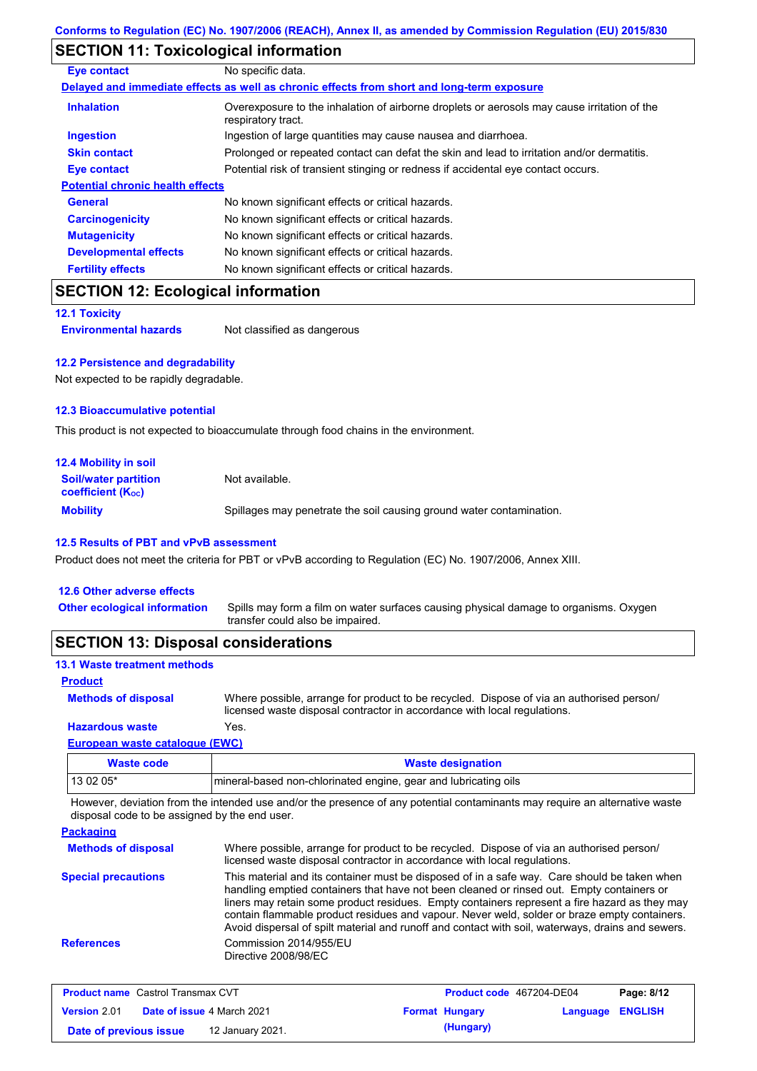# **SECTION 11: Toxicological information**

| Eye contact                             | No specific data.                                                                                                 |
|-----------------------------------------|-------------------------------------------------------------------------------------------------------------------|
|                                         | Delayed and immediate effects as well as chronic effects from short and long-term exposure                        |
| <b>Inhalation</b>                       | Overexposure to the inhalation of airborne droplets or aerosols may cause irritation of the<br>respiratory tract. |
| <b>Ingestion</b>                        | Ingestion of large quantities may cause nausea and diarrhoea.                                                     |
| <b>Skin contact</b>                     | Prolonged or repeated contact can defat the skin and lead to irritation and/or dermatitis.                        |
| <b>Eye contact</b>                      | Potential risk of transient stinging or redness if accidental eye contact occurs.                                 |
| <b>Potential chronic health effects</b> |                                                                                                                   |
| <b>General</b>                          | No known significant effects or critical hazards.                                                                 |
| <b>Carcinogenicity</b>                  | No known significant effects or critical hazards.                                                                 |
| <b>Mutagenicity</b>                     | No known significant effects or critical hazards.                                                                 |
| <b>Developmental effects</b>            | No known significant effects or critical hazards.                                                                 |
| <b>Fertility effects</b>                | No known significant effects or critical hazards.                                                                 |

## **SECTION 12: Ecological information**

**12.1 Toxicity**

**Environmental hazards** Not classified as dangerous

### **12.2 Persistence and degradability**

Not expected to be rapidly degradable.

### **12.3 Bioaccumulative potential**

This product is not expected to bioaccumulate through food chains in the environment.

| <b>12.4 Mobility in soil</b>                                  |                                                                      |
|---------------------------------------------------------------|----------------------------------------------------------------------|
| <b>Soil/water partition</b><br>coefficient (K <sub>oc</sub> ) | Not available.                                                       |
| <b>Mobility</b>                                               | Spillages may penetrate the soil causing ground water contamination. |

### **12.5 Results of PBT and vPvB assessment**

Product does not meet the criteria for PBT or vPvB according to Regulation (EC) No. 1907/2006, Annex XIII.

| <b>SECTION 13: Disposal considerations</b> |                                                                                                                           |
|--------------------------------------------|---------------------------------------------------------------------------------------------------------------------------|
| <b>Other ecological information</b>        | Spills may form a film on water surfaces causing physical damage to organisms. Oxygen<br>transfer could also be impaired. |
| 12.6 Other adverse effects                 |                                                                                                                           |

### **13.1 Waste treatment methods**

#### **Product**

Where possible, arrange for product to be recycled. Dispose of via an authorised person/ licensed waste disposal contractor in accordance with local regulations. **Methods of disposal**

### **Hazardous waste** Yes.

| European waste cataloque (EWC) |                                                                  |  |
|--------------------------------|------------------------------------------------------------------|--|
| Waste code                     | <b>Waste designation</b>                                         |  |
| 13 02 05*                      | Imineral-based non-chlorinated engine, gear and lubricating oils |  |

However, deviation from the intended use and/or the presence of any potential contaminants may require an alternative waste disposal code to be assigned by the end user.

| <b>Packaging</b>           |                                                                                                                                                                                                                                                                                                                                                                                                                                                                                                 |
|----------------------------|-------------------------------------------------------------------------------------------------------------------------------------------------------------------------------------------------------------------------------------------------------------------------------------------------------------------------------------------------------------------------------------------------------------------------------------------------------------------------------------------------|
| <b>Methods of disposal</b> | Where possible, arrange for product to be recycled. Dispose of via an authorised person/<br>licensed waste disposal contractor in accordance with local regulations.                                                                                                                                                                                                                                                                                                                            |
| <b>Special precautions</b> | This material and its container must be disposed of in a safe way. Care should be taken when<br>handling emptied containers that have not been cleaned or rinsed out. Empty containers or<br>liners may retain some product residues. Empty containers represent a fire hazard as they may<br>contain flammable product residues and vapour. Never weld, solder or braze empty containers.<br>Avoid dispersal of spilt material and runoff and contact with soil, waterways, drains and sewers. |
| <b>References</b>          | Commission 2014/955/EU<br>Directive 2008/98/EC                                                                                                                                                                                                                                                                                                                                                                                                                                                  |

| <b>Product name</b> Castrol Transmax CVT |  | <b>Product code</b> 467204-DE04   |  | Page: 8/12            |                  |  |
|------------------------------------------|--|-----------------------------------|--|-----------------------|------------------|--|
| Version 2.01                             |  | <b>Date of issue 4 March 2021</b> |  | <b>Format Hungary</b> | Language ENGLISH |  |
| Date of previous issue                   |  | 12 January 2021.                  |  | (Hungary)             |                  |  |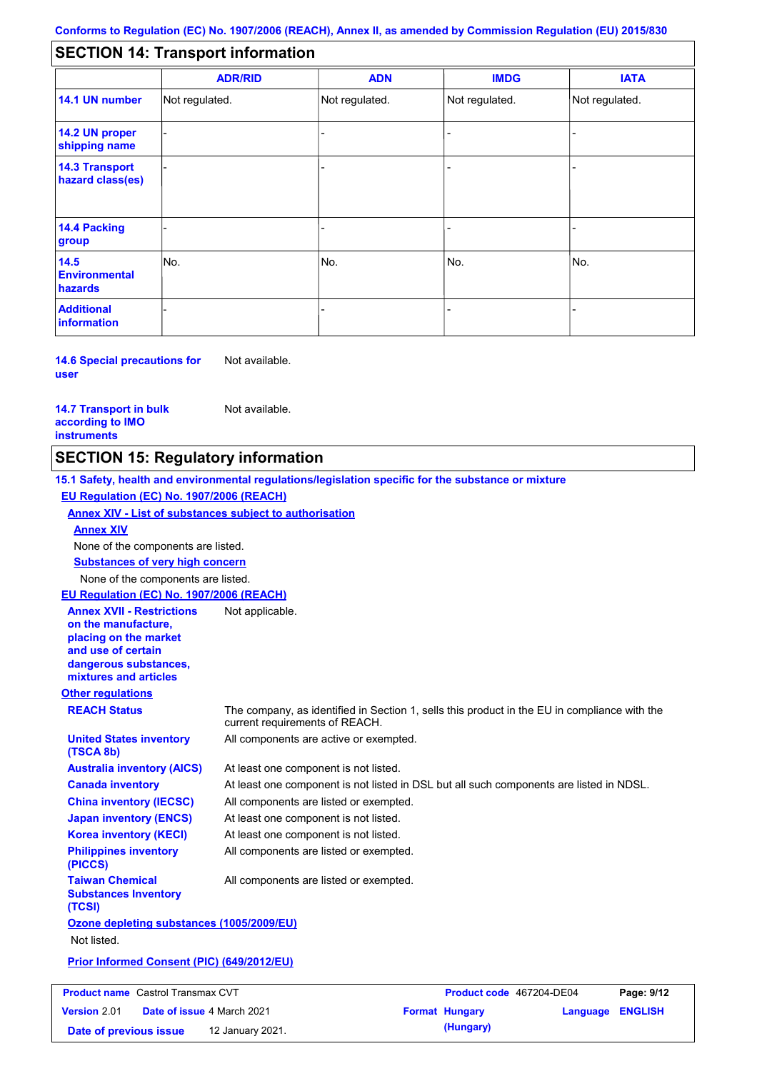#### - - - - - - - - - Not regulated. Not regulated. Not regulated. - - - **SECTION 14: Transport information ADR/RID IMDG IATA 14.1 UN number 14.2 UN proper shipping name 14.3 Transport hazard class(es) 14.4 Packing group ADN Additional information 14.5 Environmental hazards** No. 1988 | No. 1989 | No. 1989 | No. 1989 | No. 1989 | No. 1989 | No. 1989 | No. 1989 | No. 1989 | No. 1989 | Not regulated. - -<br>No. - -

**14.6 Special precautions for user** Not available.

**14.7 Transport in bulk according to IMO instruments**

Not available.

## **SECTION 15: Regulatory information**

**Other regulations REACH Status** The company, as identified in Section 1, sells this product in the EU in compliance with the current requirements of REACH. **15.1 Safety, health and environmental regulations/legislation specific for the substance or mixture EU Regulation (EC) No. 1907/2006 (REACH) Annex XIV - List of substances subject to authorisation Substances of very high concern** None of the components are listed. At least one component is not listed. At least one component is not listed in DSL but all such components are listed in NDSL. All components are listed or exempted. At least one component is not listed. All components are active or exempted. At least one component is not listed. All components are listed or exempted. **United States inventory (TSCA 8b) Australia inventory (AICS) Canada inventory China inventory (IECSC) Japan inventory (ENCS) Korea inventory (KECI) Philippines inventory (PICCS) Taiwan Chemical Substances Inventory (TCSI)** All components are listed or exempted. **Ozone depleting substances (1005/2009/EU)** Not listed. **Prior Informed Consent (PIC) (649/2012/EU)** None of the components are listed. **Annex XIV EU Regulation (EC) No. 1907/2006 (REACH) Annex XVII - Restrictions on the manufacture, placing on the market and use of certain dangerous substances, mixtures and articles** Not applicable.

| <b>Product name</b> Castrol Transmax CVT |  | Product code 467204-DE04          |  | Page: 9/12            |                         |  |
|------------------------------------------|--|-----------------------------------|--|-----------------------|-------------------------|--|
| <b>Version 2.01</b>                      |  | <b>Date of issue 4 March 2021</b> |  | <b>Format Hungary</b> | <b>Language ENGLISH</b> |  |
| Date of previous issue                   |  | 12 January 2021.                  |  | (Hungary)             |                         |  |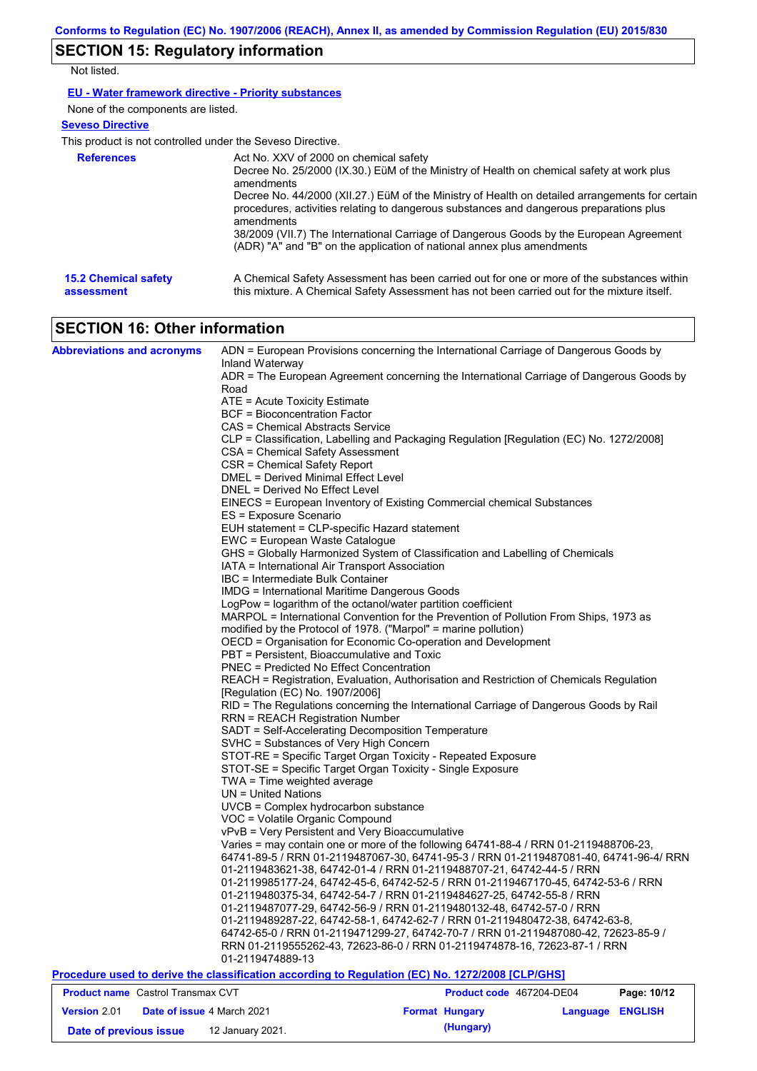# **SECTION 15: Regulatory information**

Not listed.

### **EU - Water framework directive - Priority substances**

None of the components are listed.

### **Seveso Directive**

This product is not controlled under the Seveso Directive.

| <b>References</b>           | Act No. XXV of 2000 on chemical safety<br>Decree No. 25/2000 (IX.30.) EüM of the Ministry of Health on chemical safety at work plus<br>amendments<br>Decree No. 44/2000 (XII.27.) EüM of the Ministry of Health on detailed arrangements for certain<br>procedures, activities relating to dangerous substances and dangerous preparations plus<br>amendments<br>38/2009 (VII.7) The International Carriage of Dangerous Goods by the European Agreement<br>(ADR) "A" and "B" on the application of national annex plus amendments |
|-----------------------------|------------------------------------------------------------------------------------------------------------------------------------------------------------------------------------------------------------------------------------------------------------------------------------------------------------------------------------------------------------------------------------------------------------------------------------------------------------------------------------------------------------------------------------|
| <b>15.2 Chemical safety</b> | A Chemical Safety Assessment has been carried out for one or more of the substances within                                                                                                                                                                                                                                                                                                                                                                                                                                         |
| assessment                  | this mixture. A Chemical Safety Assessment has not been carried out for the mixture itself.                                                                                                                                                                                                                                                                                                                                                                                                                                        |

## **SECTION 16: Other information**

| <b>Abbreviations and acronyms</b>          | ADN = European Provisions concerning the International Carriage of Dangerous Goods by                       |                          |                                   |  |  |  |
|--------------------------------------------|-------------------------------------------------------------------------------------------------------------|--------------------------|-----------------------------------|--|--|--|
|                                            | Inland Waterway<br>ADR = The European Agreement concerning the International Carriage of Dangerous Goods by |                          |                                   |  |  |  |
|                                            | Road                                                                                                        |                          |                                   |  |  |  |
|                                            | ATE = Acute Toxicity Estimate                                                                               |                          |                                   |  |  |  |
|                                            | <b>BCF = Bioconcentration Factor</b>                                                                        |                          |                                   |  |  |  |
|                                            | CAS = Chemical Abstracts Service                                                                            |                          |                                   |  |  |  |
|                                            | CLP = Classification, Labelling and Packaging Regulation [Regulation (EC) No. 1272/2008]                    |                          |                                   |  |  |  |
|                                            | CSA = Chemical Safety Assessment                                                                            |                          |                                   |  |  |  |
|                                            | CSR = Chemical Safety Report                                                                                |                          |                                   |  |  |  |
|                                            | <b>DMEL = Derived Minimal Effect Level</b>                                                                  |                          |                                   |  |  |  |
|                                            | DNEL = Derived No Effect Level                                                                              |                          |                                   |  |  |  |
|                                            | EINECS = European Inventory of Existing Commercial chemical Substances                                      |                          |                                   |  |  |  |
|                                            | ES = Exposure Scenario                                                                                      |                          |                                   |  |  |  |
|                                            | EUH statement = CLP-specific Hazard statement                                                               |                          |                                   |  |  |  |
|                                            | EWC = European Waste Catalogue                                                                              |                          |                                   |  |  |  |
|                                            | GHS = Globally Harmonized System of Classification and Labelling of Chemicals                               |                          |                                   |  |  |  |
|                                            | IATA = International Air Transport Association                                                              |                          |                                   |  |  |  |
|                                            | IBC = Intermediate Bulk Container                                                                           |                          |                                   |  |  |  |
|                                            | <b>IMDG = International Maritime Dangerous Goods</b>                                                        |                          |                                   |  |  |  |
|                                            | LogPow = logarithm of the octanol/water partition coefficient                                               |                          |                                   |  |  |  |
|                                            | MARPOL = International Convention for the Prevention of Pollution From Ships, 1973 as                       |                          |                                   |  |  |  |
|                                            | modified by the Protocol of 1978. ("Marpol" = marine pollution)                                             |                          |                                   |  |  |  |
|                                            | OECD = Organisation for Economic Co-operation and Development                                               |                          |                                   |  |  |  |
|                                            | PBT = Persistent, Bioaccumulative and Toxic                                                                 |                          |                                   |  |  |  |
|                                            | <b>PNEC = Predicted No Effect Concentration</b>                                                             |                          |                                   |  |  |  |
|                                            | REACH = Registration, Evaluation, Authorisation and Restriction of Chemicals Regulation                     |                          |                                   |  |  |  |
|                                            | [Regulation (EC) No. 1907/2006]                                                                             |                          |                                   |  |  |  |
|                                            | RID = The Regulations concerning the International Carriage of Dangerous Goods by Rail                      |                          |                                   |  |  |  |
|                                            | <b>RRN = REACH Registration Number</b>                                                                      |                          |                                   |  |  |  |
|                                            | SADT = Self-Accelerating Decomposition Temperature                                                          |                          |                                   |  |  |  |
|                                            | SVHC = Substances of Very High Concern                                                                      |                          |                                   |  |  |  |
|                                            | STOT-RE = Specific Target Organ Toxicity - Repeated Exposure                                                |                          |                                   |  |  |  |
|                                            | STOT-SE = Specific Target Organ Toxicity - Single Exposure                                                  |                          |                                   |  |  |  |
|                                            | TWA = Time weighted average                                                                                 |                          |                                   |  |  |  |
|                                            | UN = United Nations                                                                                         |                          |                                   |  |  |  |
|                                            | UVCB = Complex hydrocarbon substance                                                                        |                          |                                   |  |  |  |
|                                            | VOC = Volatile Organic Compound                                                                             |                          |                                   |  |  |  |
|                                            | vPvB = Very Persistent and Very Bioaccumulative                                                             |                          |                                   |  |  |  |
|                                            | Varies = may contain one or more of the following 64741-88-4 / RRN 01-2119488706-23,                        |                          |                                   |  |  |  |
|                                            | 64741-89-5 / RRN 01-2119487067-30, 64741-95-3 / RRN 01-2119487081-40, 64741-96-4/ RRN                       |                          |                                   |  |  |  |
|                                            | 01-2119483621-38, 64742-01-4 / RRN 01-2119488707-21, 64742-44-5 / RRN                                       |                          |                                   |  |  |  |
|                                            | 01-2119985177-24, 64742-45-6, 64742-52-5 / RRN 01-2119467170-45, 64742-53-6 / RRN                           |                          |                                   |  |  |  |
|                                            | 01-2119480375-34, 64742-54-7 / RRN 01-2119484627-25, 64742-55-8 / RRN                                       |                          |                                   |  |  |  |
|                                            | 01-2119487077-29, 64742-56-9 / RRN 01-2119480132-48, 64742-57-0 / RRN                                       |                          |                                   |  |  |  |
|                                            | 01-2119489287-22, 64742-58-1, 64742-62-7 / RRN 01-2119480472-38, 64742-63-8,                                |                          |                                   |  |  |  |
|                                            | 64742-65-0 / RRN 01-2119471299-27, 64742-70-7 / RRN 01-2119487080-42, 72623-85-9 /                          |                          |                                   |  |  |  |
|                                            | RRN 01-2119555262-43, 72623-86-0 / RRN 01-2119474878-16, 72623-87-1 / RRN                                   |                          |                                   |  |  |  |
|                                            | 01-2119474889-13                                                                                            |                          |                                   |  |  |  |
|                                            | Procedure used to derive the classification according to Regulation (EC) No. 1272/2008 [CLP/GHS]            |                          |                                   |  |  |  |
| <b>Product name</b> Castrol Transmax CVT   |                                                                                                             | Product code 467204-DE04 | Page: 10/12                       |  |  |  |
| Version 2.01<br>Date of issue 4 March 2021 |                                                                                                             | <b>Format Hungary</b>    | <b>ENGLISH</b><br><b>Language</b> |  |  |  |

**Date of previous issue (Hungary)** 12 January 2021.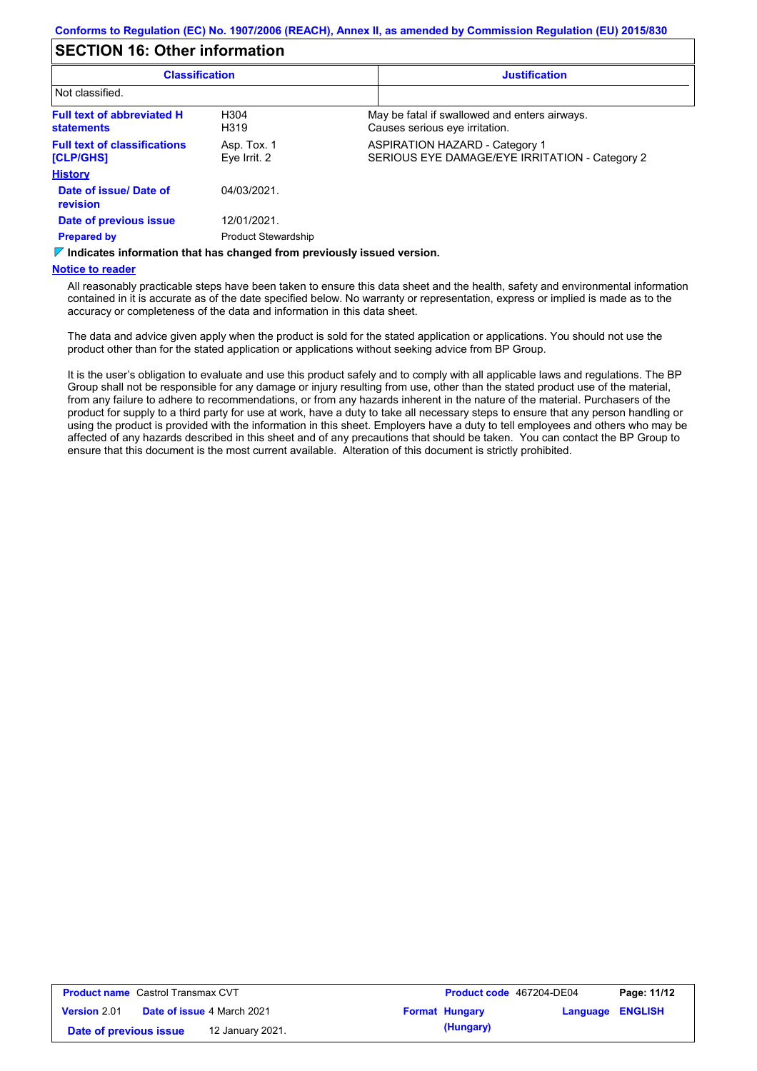## **SECTION 16: Other information**

| <b>Classification</b>                                  |                             | <b>Justification</b> |                                                                                         |
|--------------------------------------------------------|-----------------------------|----------------------|-----------------------------------------------------------------------------------------|
| Not classified.                                        |                             |                      |                                                                                         |
| <b>Full text of abbreviated H</b><br><b>statements</b> | H <sub>304</sub><br>H319    |                      | May be fatal if swallowed and enters airways.<br>Causes serious eye irritation.         |
| <b>Full text of classifications</b><br>[CLP/GHS]       | Asp. Tox. 1<br>Eye Irrit. 2 |                      | <b>ASPIRATION HAZARD - Category 1</b><br>SERIOUS EYE DAMAGE/EYE IRRITATION - Category 2 |
| <b>History</b>                                         |                             |                      |                                                                                         |
| Date of issue/Date of<br>revision                      | 04/03/2021.                 |                      |                                                                                         |
| Date of previous issue                                 | 12/01/2021.                 |                      |                                                                                         |
| <b>Prepared by</b>                                     | <b>Product Stewardship</b>  |                      |                                                                                         |

*V* **Indicates information that has changed from previously issued version.** 

#### **Notice to reader**

All reasonably practicable steps have been taken to ensure this data sheet and the health, safety and environmental information contained in it is accurate as of the date specified below. No warranty or representation, express or implied is made as to the accuracy or completeness of the data and information in this data sheet.

The data and advice given apply when the product is sold for the stated application or applications. You should not use the product other than for the stated application or applications without seeking advice from BP Group.

It is the user's obligation to evaluate and use this product safely and to comply with all applicable laws and regulations. The BP Group shall not be responsible for any damage or injury resulting from use, other than the stated product use of the material, from any failure to adhere to recommendations, or from any hazards inherent in the nature of the material. Purchasers of the product for supply to a third party for use at work, have a duty to take all necessary steps to ensure that any person handling or using the product is provided with the information in this sheet. Employers have a duty to tell employees and others who may be affected of any hazards described in this sheet and of any precautions that should be taken. You can contact the BP Group to ensure that this document is the most current available. Alteration of this document is strictly prohibited.

| <b>Product name</b> Castrol Transmax CVT |  | <b>Product code</b> 467204-DE04   |  | Page: 11/12           |                         |  |
|------------------------------------------|--|-----------------------------------|--|-----------------------|-------------------------|--|
| <b>Version 2.01</b>                      |  | <b>Date of issue 4 March 2021</b> |  | <b>Format Hungary</b> | <b>Language ENGLISH</b> |  |
| Date of previous issue                   |  | 12 January 2021.                  |  | (Hungary)             |                         |  |